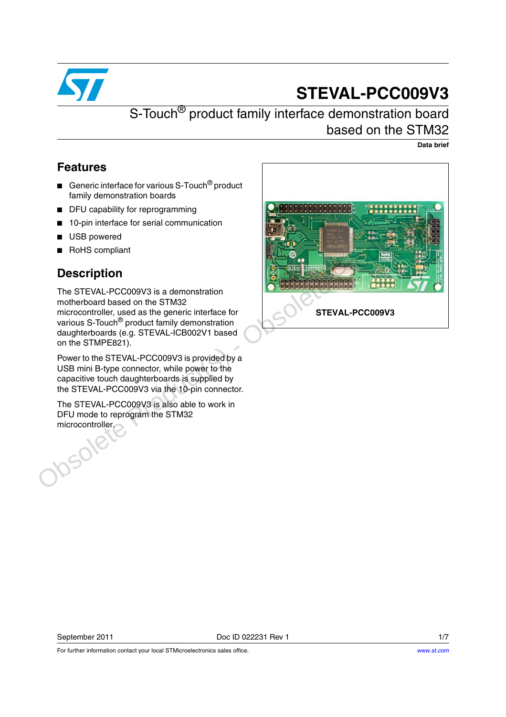

# **STEVAL-PCC009V3**

## S-Touch<sup>®</sup> product family interface demonstration board based on the STM32

**Data brief**

#### **Features**

- Generic interface for various S-Touch<sup>®</sup> product family demonstration boards
- DFU capability for reprogramming
- 10-pin interface for serial communication
- USB powered
- RoHS compliant

### **Description**

The STEVAL-PCC009V3 is a demonstration motherboard based on the STM32 microcontroller, used as the generic interface for various S-Touch® product family demonstration daughterboards (e.g. STEVAL-ICB002V1 based on the STMPE821).

Power to the STEVAL-PCC009V3 is provided by a USB mini B-type connector, while power to the capacitive touch daughterboards is supplied by the STEVAL-PCC009V3 via the 10-pin connector.

The STEVAL-PCC009V3 is also able to work in DFU mode to reprogram the STM32 microcontroller.



For further information contact your local STMicroelectronics sales office.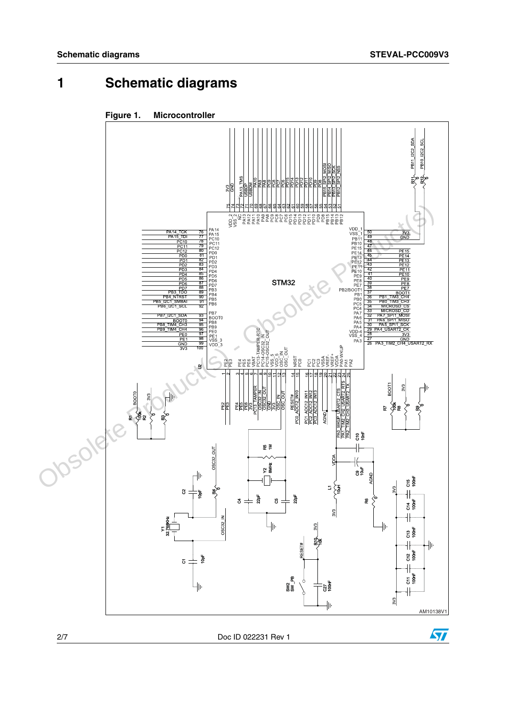$\sqrt{2}$ 

# **1 Schematic diagrams**



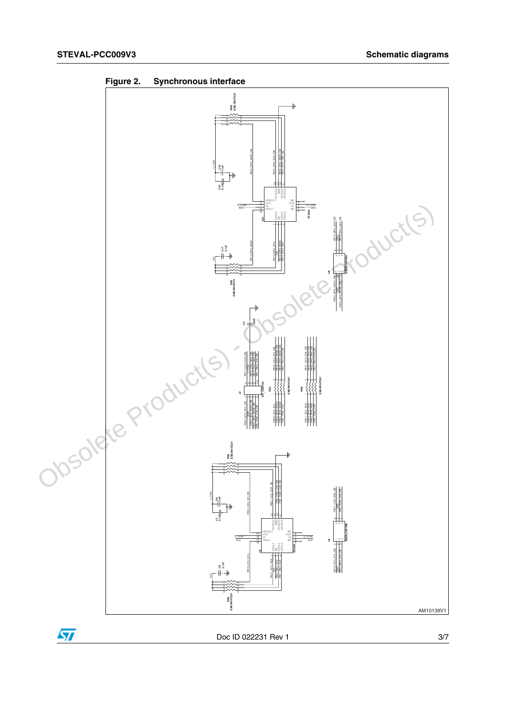

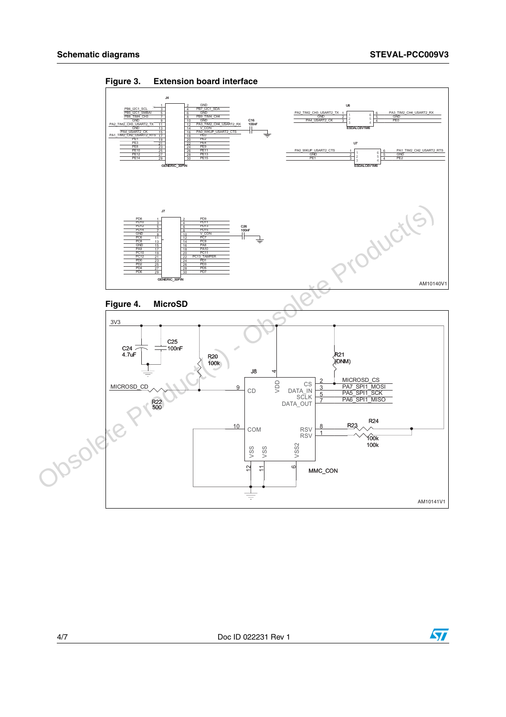

**Figure 3. Extension board interface**

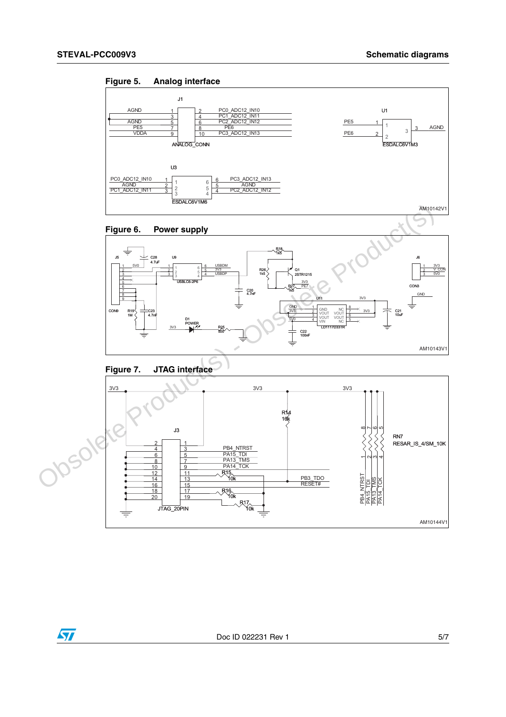











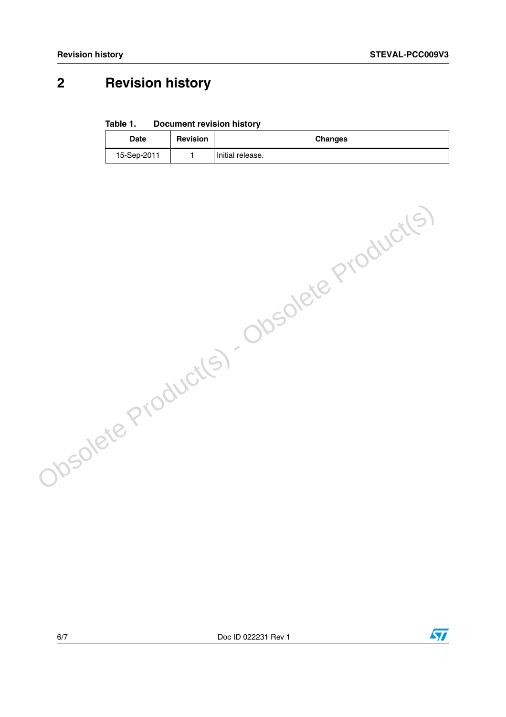# **2 Revision history**

**Table 1. Document revision history**

| <b>Date</b> | <b>Revision</b> | <b>Changes</b>     |
|-------------|-----------------|--------------------|
| 15-Sep-2011 |                 | l Initial release. |

6/7 Doc ID 022231 Rev 1

Obsolete Product(s) - Obsolete Product(s)